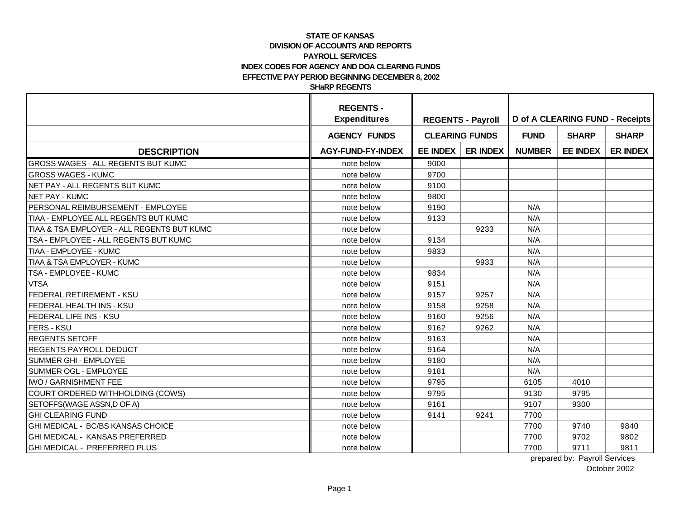|                                            | <b>REGENTS -</b><br><b>Expenditures</b> | <b>REGENTS - Payroll</b> |                 | <b>D</b> of A CLEARING FUND - Receipts |                 |                 |  |
|--------------------------------------------|-----------------------------------------|--------------------------|-----------------|----------------------------------------|-----------------|-----------------|--|
|                                            | <b>AGENCY FUNDS</b>                     | <b>CLEARING FUNDS</b>    |                 | <b>FUND</b>                            | <b>SHARP</b>    | <b>SHARP</b>    |  |
| <b>DESCRIPTION</b>                         | <b>AGY-FUND-FY-INDEX</b>                | <b>EE INDEX</b>          | <b>ER INDEX</b> | <b>NUMBER</b>                          | <b>EE INDEX</b> | <b>ER INDEX</b> |  |
| GROSS WAGES - ALL REGENTS BUT KUMC         | note below                              | 9000                     |                 |                                        |                 |                 |  |
| <b>GROSS WAGES - KUMC</b>                  | note below                              | 9700                     |                 |                                        |                 |                 |  |
| NET PAY - ALL REGENTS BUT KUMC             | note below                              | 9100                     |                 |                                        |                 |                 |  |
| <b>NET PAY - KUMC</b>                      | note below                              | 9800                     |                 |                                        |                 |                 |  |
| PERSONAL REIMBURSEMENT - EMPLOYEE          | note below                              | 9190                     |                 | N/A                                    |                 |                 |  |
| TIAA - EMPLOYEE ALL REGENTS BUT KUMC       | note below                              | 9133                     |                 | N/A                                    |                 |                 |  |
| TIAA & TSA EMPLOYER - ALL REGENTS BUT KUMC | note below                              |                          | 9233            | N/A                                    |                 |                 |  |
| TSA - EMPLOYEE - ALL REGENTS BUT KUMC      | note below                              | 9134                     |                 | N/A                                    |                 |                 |  |
| TIAA - EMPLOYEE - KUMC                     | note below                              | 9833                     |                 | N/A                                    |                 |                 |  |
| TIAA & TSA EMPLOYER - KUMC                 | note below                              |                          | 9933            | N/A                                    |                 |                 |  |
| TSA - EMPLOYEE - KUMC                      | note below                              | 9834                     |                 | N/A                                    |                 |                 |  |
| <b>VTSA</b>                                | note below                              | 9151                     |                 | N/A                                    |                 |                 |  |
| FEDERAL RETIREMENT - KSU                   | note below                              | 9157                     | 9257            | N/A                                    |                 |                 |  |
| FEDERAL HEALTH INS - KSU                   | note below                              | 9158                     | 9258            | N/A                                    |                 |                 |  |
| FEDERAL LIFE INS - KSU                     | note below                              | 9160                     | 9256            | N/A                                    |                 |                 |  |
| <b>FERS - KSU</b>                          | note below                              | 9162                     | 9262            | N/A                                    |                 |                 |  |
| <b>REGENTS SETOFF</b>                      | note below                              | 9163                     |                 | N/A                                    |                 |                 |  |
| REGENTS PAYROLL DEDUCT                     | note below                              | 9164                     |                 | N/A                                    |                 |                 |  |
| SUMMER GHI - EMPLOYEE                      | note below                              | 9180                     |                 | N/A                                    |                 |                 |  |
| SUMMER OGL - EMPLOYEE                      | note below                              | 9181                     |                 | N/A                                    |                 |                 |  |
| <b>IWO / GARNISHMENT FEE</b>               | note below                              | 9795                     |                 | 6105                                   | 4010            |                 |  |
| COURT ORDERED WITHHOLDING (COWS)           | note below                              | 9795                     |                 | 9130                                   | 9795            |                 |  |
| SETOFFS(WAGE ASSN,D OF A)                  | note below                              | 9161                     |                 | 9107                                   | 9300            |                 |  |
| <b>GHI CLEARING FUND</b>                   | note below                              | 9141                     | 9241            | 7700                                   |                 |                 |  |
| GHI MEDICAL - BC/BS KANSAS CHOICE          | note below                              |                          |                 | 7700                                   | 9740            | 9840            |  |
| GHI MEDICAL - KANSAS PREFERRED             | note below                              |                          |                 | 7700                                   | 9702            | 9802            |  |
| GHI MEDICAL - PREFERRED PLUS               | note below                              |                          |                 | 7700                                   | 9711            | 9811            |  |

prepared by: Payroll Services October 2002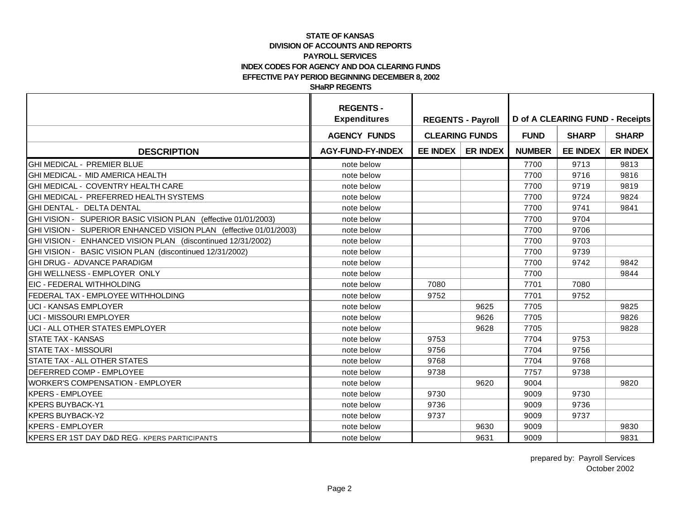|                                                                   | <b>REGENTS -</b><br><b>Expenditures</b> | <b>REGENTS - Payroll</b> |                 | <b>D</b> of A CLEARING FUND - Receipts |                 |                 |  |
|-------------------------------------------------------------------|-----------------------------------------|--------------------------|-----------------|----------------------------------------|-----------------|-----------------|--|
|                                                                   | <b>AGENCY FUNDS</b>                     | <b>CLEARING FUNDS</b>    |                 | <b>FUND</b>                            | <b>SHARP</b>    | <b>SHARP</b>    |  |
| <b>DESCRIPTION</b>                                                | <b>AGY-FUND-FY-INDEX</b>                | <b>EE INDEX</b>          | <b>ER INDEX</b> | <b>NUMBER</b>                          | <b>EE INDEX</b> | <b>ER INDEX</b> |  |
| <b>GHI MEDICAL - PREMIER BLUE</b>                                 | note below                              |                          |                 | 7700                                   | 9713            | 9813            |  |
| GHI MEDICAL - MID AMERICA HEALTH                                  | note below                              |                          |                 | 7700                                   | 9716            | 9816            |  |
| GHI MEDICAL - COVENTRY HEALTH CARE                                | note below                              |                          |                 | 7700                                   | 9719            | 9819            |  |
| GHI MEDICAL - PREFERRED HEALTH SYSTEMS                            | note below                              |                          |                 | 7700                                   | 9724            | 9824            |  |
| GHI DENTAL - DELTA DENTAL                                         | note below                              |                          |                 | 7700                                   | 9741            | 9841            |  |
| GHI VISION - SUPERIOR BASIC VISION PLAN (effective 01/01/2003)    | note below                              |                          |                 | 7700                                   | 9704            |                 |  |
| GHI VISION - SUPERIOR ENHANCED VISION PLAN (effective 01/01/2003) | note below                              |                          |                 | 7700                                   | 9706            |                 |  |
| GHI VISION - ENHANCED VISION PLAN (discontinued 12/31/2002)       | note below                              |                          |                 | 7700                                   | 9703            |                 |  |
| GHI VISION - BASIC VISION PLAN (discontinued 12/31/2002)          | note below                              |                          |                 | 7700                                   | 9739            |                 |  |
| GHI DRUG - ADVANCE PARADIGM                                       | note below                              |                          |                 | 7700                                   | 9742            | 9842            |  |
| GHI WELLNESS - EMPLOYER ONLY                                      | note below                              |                          |                 | 7700                                   |                 | 9844            |  |
| EIC - FEDERAL WITHHOLDING                                         | note below                              | 7080                     |                 | 7701                                   | 7080            |                 |  |
| FEDERAL TAX - EMPLOYEE WITHHOLDING                                | note below                              | 9752                     |                 | 7701                                   | 9752            |                 |  |
| <b>UCI - KANSAS EMPLOYER</b>                                      | note below                              |                          | 9625            | 7705                                   |                 | 9825            |  |
| <b>UCI - MISSOURI EMPLOYER</b>                                    | note below                              |                          | 9626            | 7705                                   |                 | 9826            |  |
| UCI - ALL OTHER STATES EMPLOYER                                   | note below                              |                          | 9628            | 7705                                   |                 | 9828            |  |
| STATE TAX - KANSAS                                                | note below                              | 9753                     |                 | 7704                                   | 9753            |                 |  |
| <b>STATE TAX - MISSOURI</b>                                       | note below                              | 9756                     |                 | 7704                                   | 9756            |                 |  |
| STATE TAX - ALL OTHER STATES                                      | note below                              | 9768                     |                 | 7704                                   | 9768            |                 |  |
| DEFERRED COMP - EMPLOYEE                                          | note below                              | 9738                     |                 | 7757                                   | 9738            |                 |  |
| <b>WORKER'S COMPENSATION - EMPLOYER</b>                           | note below                              |                          | 9620            | 9004                                   |                 | 9820            |  |
| <b>KPERS - EMPLOYEE</b>                                           | note below                              | 9730                     |                 | 9009                                   | 9730            |                 |  |
| <b>KPERS BUYBACK-Y1</b>                                           | note below                              | 9736                     |                 | 9009                                   | 9736            |                 |  |
| <b>KPERS BUYBACK-Y2</b>                                           | note below                              | 9737                     |                 | 9009                                   | 9737            |                 |  |
| <b>KPERS - EMPLOYER</b>                                           | note below                              |                          | 9630            | 9009                                   |                 | 9830            |  |
| KPERS ER 1ST DAY D&D REG- KPERS PARTICIPANTS                      | note below                              |                          | 9631            | 9009                                   |                 | 9831            |  |

prepared by: Payroll Services October 2002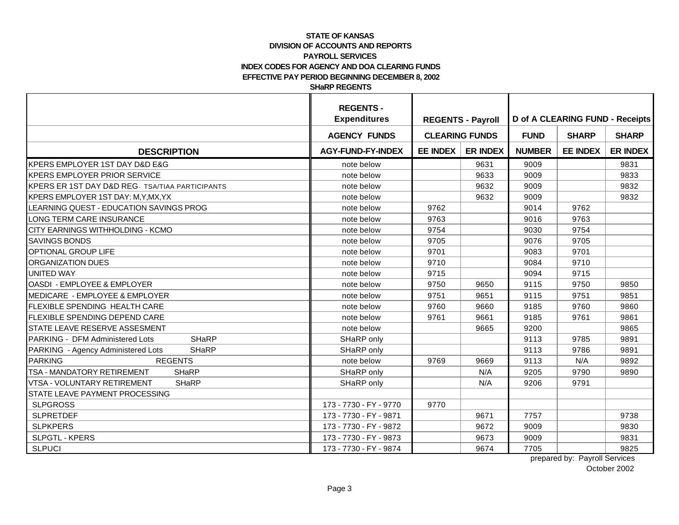|                                                    | <b>REGENTS -</b><br><b>Expenditures</b> |          | <b>REGENTS - Payroll</b> |               | <b>D</b> of A CLEARING FUND - Receipts |                 |
|----------------------------------------------------|-----------------------------------------|----------|--------------------------|---------------|----------------------------------------|-----------------|
|                                                    | <b>AGENCY FUNDS</b>                     |          | <b>CLEARING FUNDS</b>    | <b>FUND</b>   | <b>SHARP</b>                           | <b>SHARP</b>    |
| <b>DESCRIPTION</b>                                 | <b>AGY-FUND-FY-INDEX</b>                | EE INDEX | <b>ER INDEX</b>          | <b>NUMBER</b> | <b>EE INDEX</b>                        | <b>ER INDEX</b> |
| KPERS EMPLOYER 1ST DAY D&D E&G                     | note below                              |          | 9631                     | 9009          |                                        | 9831            |
| <b>KPERS EMPLOYER PRIOR SERVICE</b>                | note below                              |          | 9633                     | 9009          |                                        | 9833            |
| KPERS ER 1ST DAY D&D REG. TSA/TIAA PARTICIPANTS    | note below                              |          | 9632                     | 9009          |                                        | 9832            |
| KPERS EMPLOYER 1ST DAY: M,Y,MX,YX                  | note below                              |          | 9632                     | 9009          |                                        | 9832            |
| LEARNING QUEST - EDUCATION SAVINGS PROG            | note below                              | 9762     |                          | 9014          | 9762                                   |                 |
| LONG TERM CARE INSURANCE                           | note below                              | 9763     |                          | 9016          | 9763                                   |                 |
| CITY EARNINGS WITHHOLDING - KCMO                   | note below                              | 9754     |                          | 9030          | 9754                                   |                 |
| <b>SAVINGS BONDS</b>                               | note below                              | 9705     |                          | 9076          | 9705                                   |                 |
| OPTIONAL GROUP LIFE                                | note below                              | 9701     |                          | 9083          | 9701                                   |                 |
| ORGANIZATION DUES                                  | note below                              | 9710     |                          | 9084          | 9710                                   |                 |
| <b>UNITED WAY</b>                                  | note below                              | 9715     |                          | 9094          | 9715                                   |                 |
| OASDI - EMPLOYEE & EMPLOYER                        | note below                              | 9750     | 9650                     | 9115          | 9750                                   | 9850            |
| MEDICARE - EMPLOYEE & EMPLOYER                     | note below                              | 9751     | 9651                     | 9115          | 9751                                   | 9851            |
| FLEXIBLE SPENDING HEALTH CARE                      | note below                              | 9760     | 9660                     | 9185          | 9760                                   | 9860            |
| FLEXIBLE SPENDING DEPEND CARE                      | note below                              | 9761     | 9661                     | 9185          | 9761                                   | 9861            |
| STATE LEAVE RESERVE ASSESMENT                      | note below                              |          | 9665                     | 9200          |                                        | 9865            |
| <b>SHaRP</b><br>PARKING - DFM Administered Lots    | SHaRP only                              |          |                          | 9113          | 9785                                   | 9891            |
| <b>SHaRP</b><br>PARKING - Agency Administered Lots | SHaRP only                              |          |                          | 9113          | 9786                                   | 9891            |
| <b>PARKING</b><br><b>REGENTS</b>                   | note below                              | 9769     | 9669                     | 9113          | N/A                                    | 9892            |
| TSA - MANDATORY RETIREMENT<br><b>SHaRP</b>         | SHaRP only                              |          | N/A                      | 9205          | 9790                                   | 9890            |
| <b>VTSA - VOLUNTARY RETIREMENT</b><br><b>SHaRP</b> | SHaRP only                              |          | N/A                      | 9206          | 9791                                   |                 |
| STATE LEAVE PAYMENT PROCESSING                     |                                         |          |                          |               |                                        |                 |
| <b>SLPGROSS</b>                                    | 173 - 7730 - FY - 9770                  | 9770     |                          |               |                                        |                 |
| <b>SLPRETDEF</b>                                   | 173 - 7730 - FY - 9871                  |          | 9671                     | 7757          |                                        | 9738            |
| <b>SLPKPERS</b>                                    | 173 - 7730 - FY - 9872                  |          | 9672                     | 9009          |                                        | 9830            |
| <b>SLPGTL - KPERS</b>                              | 173 - 7730 - FY - 9873                  |          | 9673                     | 9009          |                                        | 9831            |
| <b>SLPUCI</b>                                      | 173 - 7730 - FY - 9874                  |          | 9674                     | 7705          |                                        | 9825            |

prepared by: Payroll Services